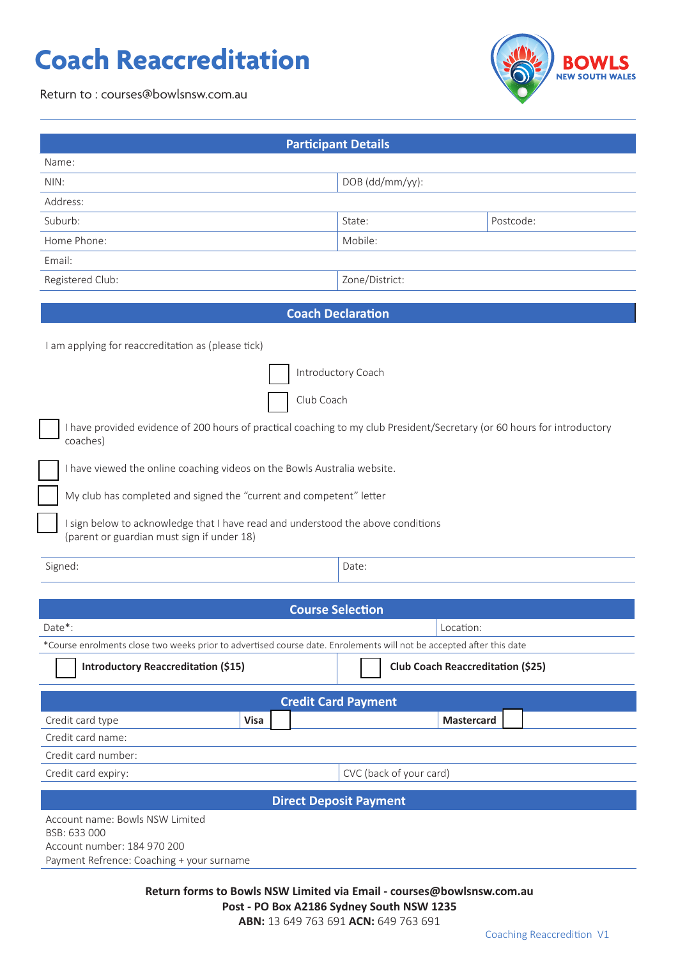## **Coach Reaccreditation**





| <b>Participant Details</b>                                                                                                           |                                          |
|--------------------------------------------------------------------------------------------------------------------------------------|------------------------------------------|
| Name:                                                                                                                                |                                          |
| NIN:                                                                                                                                 | DOB (dd/mm/yy):                          |
| Address:                                                                                                                             |                                          |
| Suburb:                                                                                                                              | Postcode:<br>State:                      |
| Home Phone:                                                                                                                          | Mobile:                                  |
| Email:                                                                                                                               |                                          |
| Registered Club:                                                                                                                     | Zone/District:                           |
|                                                                                                                                      |                                          |
| <b>Coach Declaration</b>                                                                                                             |                                          |
| I am applying for reaccreditation as (please tick)                                                                                   |                                          |
| Introductory Coach                                                                                                                   |                                          |
| Club Coach                                                                                                                           |                                          |
| I have provided evidence of 200 hours of practical coaching to my club President/Secretary (or 60 hours for introductory<br>coaches) |                                          |
| I have viewed the online coaching videos on the Bowls Australia website.                                                             |                                          |
| My club has completed and signed the "current and competent" letter                                                                  |                                          |
| I sign below to acknowledge that I have read and understood the above conditions<br>(parent or guardian must sign if under 18)       |                                          |
| Signed:                                                                                                                              | Date:                                    |
| <b>Course Selection</b>                                                                                                              |                                          |
| Date*:                                                                                                                               | Location:                                |
| *Course enrolments close two weeks prior to advertised course date. Enrolements will not be accepted after this date                 |                                          |
| <b>Introductory Reaccreditation (\$15)</b>                                                                                           | <b>Club Coach Reaccreditation (\$25)</b> |
|                                                                                                                                      |                                          |
|                                                                                                                                      | <b>Credit Card Payment</b>               |
| Credit card type<br><b>Visa</b>                                                                                                      | Mastercard                               |
| Credit card name:                                                                                                                    |                                          |
| Credit card number:                                                                                                                  |                                          |
| Credit card expiry:                                                                                                                  | CVC (back of your card)                  |
| <b>Direct Deposit Payment</b>                                                                                                        |                                          |
| Account name: Bowls NSW Limited<br>BSB: 633 000<br>Account number: 184 970 200<br>Payment Refrence: Coaching + your surname          |                                          |

**Return forms to Bowls NSW Limited via Email - courses@bowlsnsw.com.au Post - PO Box A2186 Sydney South NSW 1235 ABN:** 13 649 763 691 **ACN:** 649 763 691